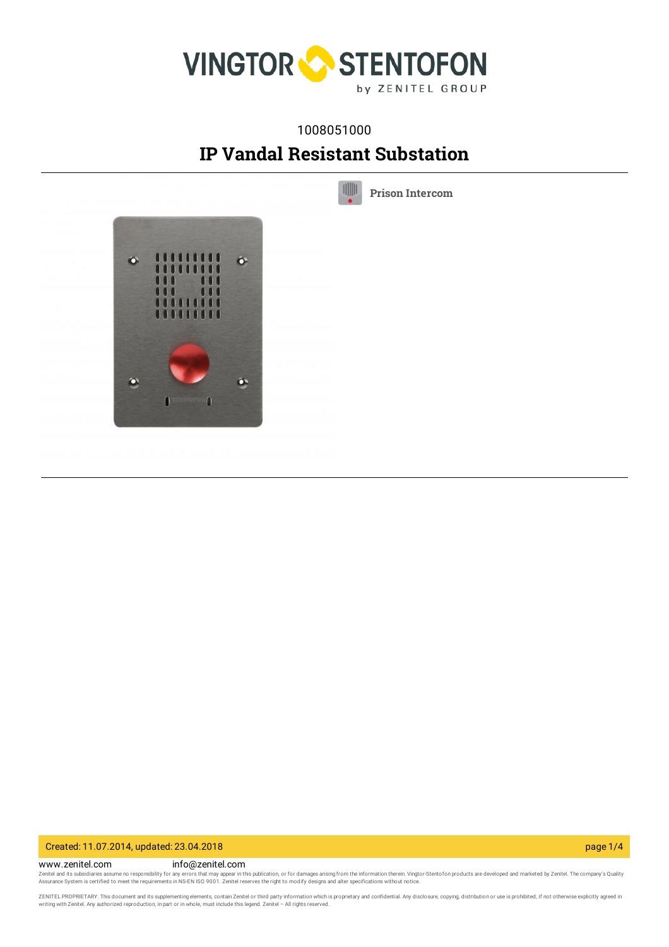

## 1008051000

# **IP Vandal Resistant Substation**

 $\parallel \parallel \parallel \parallel$ 

**Prison [Intercom](https://www.zenitel.com/technology/products-market/prison-intercom)**



Created: 11.07.2014, updated: 23.04.2018 page 1/4

www.zenitel.com info@zenitel.com Zenitel and its subsidiaries assume no responsibility for any errors that may appear in this publication, or for damages arising from the information therein. Vingtor-Stentofon products are developed and marketed by Zenite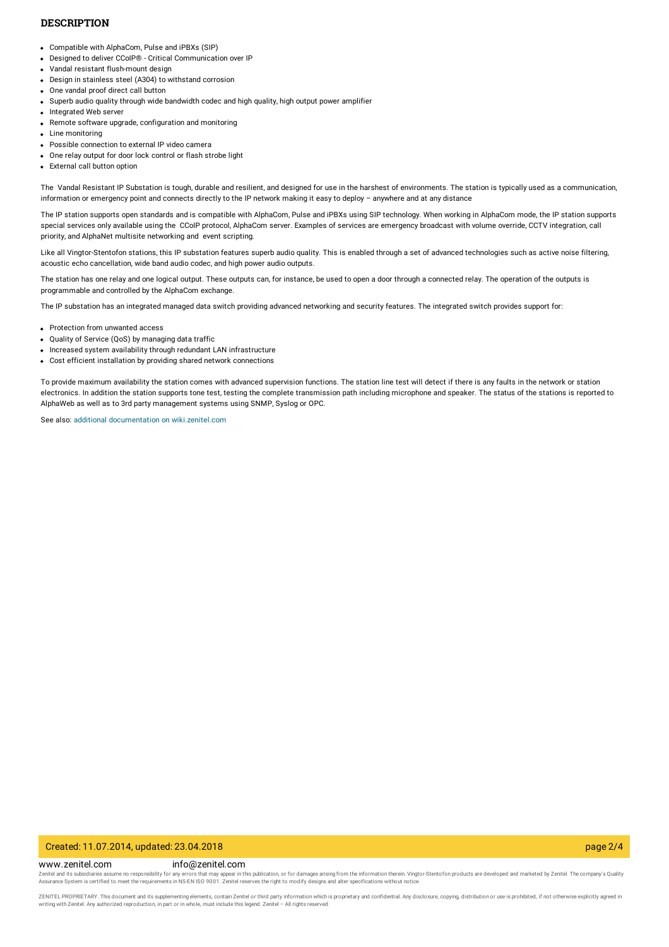#### **DESCRIPTION**

- Compatible with AlphaCom, Pulse and iPBXs (SIP)
- Designed to deliver CCoIP<sup>®</sup> Critical Communication over IP
- Vandal resistant flush-mount design
- Design in stainless steel (A304) to withstand corrosion
- One vandal proof direct call button
- Superb audio quality through wide bandwidth codec and high quality, high output power amplifier
- Integrated Web server
- Remote software upgrade, configuration and monitoring
- Line monitoring
- Possible connection to external IP video camera
- One relay output for door lock control or flash strobe light
- External call button option

The Vandal Resistant IP Substation is tough, durable and resilient, and designed for use in the harshest of environments. The station is typically used as a communication, information or emergency point and connects directly to the IP network making it easy to deploy - anywhere and at any distance

The IP station supports open standards and is compatible with AlphaCom, Pulse and iPBXs using SIP technology. When working in AlphaCom mode, the IP station supports special services only available using the CCoIP protocol, AlphaCom server. Examples of services are emergency broadcast with volume override, CCTV integration, call priority, and AlphaNet multisite networking and event scripting.

Like all Vingtor-Stentofon stations, this IP substation features superb audio quality. This is enabled through a set of advanced technologies such as active noise filtering, acoustic echo cancellation, wide band audio codec, and high power audio outputs.

The station has one relay and one logical output. These outputs can, for instance, be used to open a door through a connected relay. The operation of the outputs is programmable and controlled by the AlphaCom exchange.

The IP substation has an integrated managed data switch providing advanced networking and security features. The integrated switch provides support for:

- Protection from unwanted access
- Quality of Service (QoS) by managing data traffic
- Increased system availability through redundant LAN infrastructure
- Cost efficient installation by providing shared network connections

To provide maximum availability the station comes with advanced supervision functions. The station line test will detect if there is any faults in the network or station electronics. In addition the station supports tone test, testing the complete transmission path including microphone and speaker. The status of the stations is reported to AlphaWeb as well as to 3rd party management systems using SNMP, Syslog or OPC.

See also: additional documentation on [wiki.zenitel.com](https://wiki.zenitel.com/wiki/Weather_and_Vandal_Resistant_IP_Substation_for_3_gang_Back_Box_-_1008051000)

#### Created: 11.07.2014, updated: 23.04.2018 page 2/4

www.zenitel.com info@zenitel.com Zenitel and its subsidiaries assume no responsibility for any errors that may appear in this publication, or for damages arising from the information therein. Vingtor-Stentofon products are developed and marketed by Zenite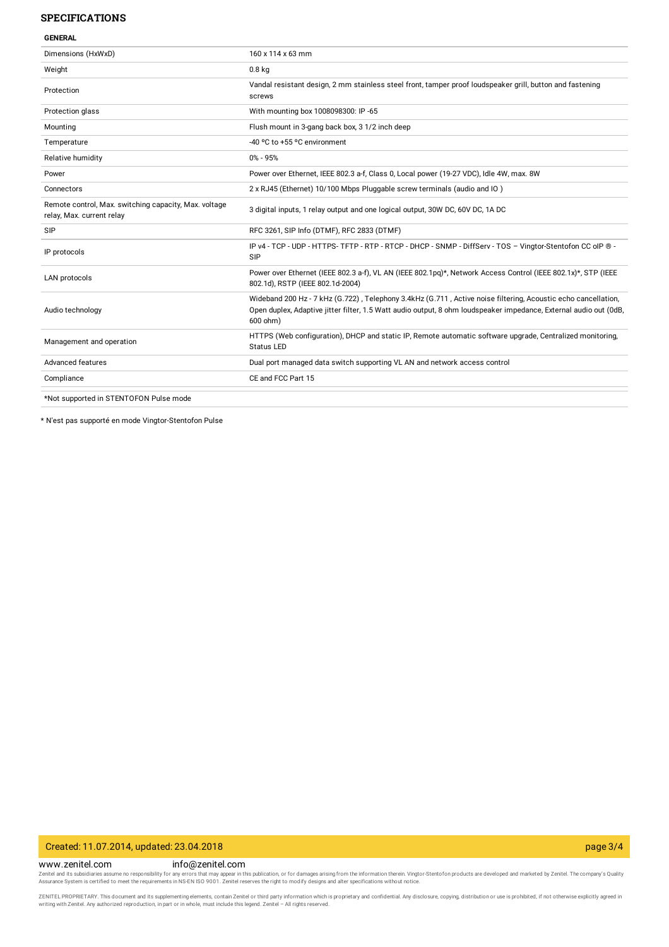#### **SPECIFICATIONS**

| л<br>÷<br>FNFR<br>u |  |
|---------------------|--|

| Dimensions (HxWxD)                                                                 | 160 x 114 x 63 mm                                                                                                                                                                                                                              |
|------------------------------------------------------------------------------------|------------------------------------------------------------------------------------------------------------------------------------------------------------------------------------------------------------------------------------------------|
| Weight                                                                             | 0.8 <sub>kq</sub>                                                                                                                                                                                                                              |
| Protection                                                                         | Vandal resistant design, 2 mm stainless steel front, tamper proof loudspeaker grill, button and fastening<br>screws                                                                                                                            |
| Protection glass                                                                   | With mounting box 1008098300: IP -65                                                                                                                                                                                                           |
| Mounting                                                                           | Flush mount in 3-gang back box, 3 1/2 inch deep                                                                                                                                                                                                |
| Temperature                                                                        | -40 °C to +55 °C environment                                                                                                                                                                                                                   |
| Relative humidity                                                                  | $0\% - 95\%$                                                                                                                                                                                                                                   |
| Power                                                                              | Power over Ethernet, IEEE 802.3 a-f, Class 0, Local power (19-27 VDC), Idle 4W, max. 8W                                                                                                                                                        |
| Connectors                                                                         | 2 x RJ45 (Ethernet) 10/100 Mbps Pluggable screw terminals (audio and IO)                                                                                                                                                                       |
| Remote control, Max. switching capacity, Max. voltage<br>relay, Max. current relay | 3 digital inputs, 1 relay output and one logical output, 30W DC, 60V DC, 1A DC                                                                                                                                                                 |
| <b>SIP</b>                                                                         | RFC 3261, SIP Info (DTMF), RFC 2833 (DTMF)                                                                                                                                                                                                     |
| IP protocols                                                                       | IP v4 - TCP - UDP - HTTPS- TFTP - RTP - RTCP - DHCP - SNMP - DiffServ - TOS - Vingtor-Stentofon CC oIP ® -<br>SIP                                                                                                                              |
| <b>LAN</b> protocols                                                               | Power over Ethernet (IEEE 802.3 a-f), VL AN (IEEE 802.1pq)*, Network Access Control (IEEE 802.1x)*, STP (IEEE<br>802.1d), RSTP (IEEE 802.1d-2004)                                                                                              |
| Audio technology                                                                   | Wideband 200 Hz - 7 kHz (G.722), Telephony 3.4kHz (G.711, Active noise filtering, Acoustic echo cancellation,<br>Open duplex, Adaptive jitter filter, 1.5 Watt audio output, 8 ohm loudspeaker impedance, External audio out (0dB,<br>600 ohm) |
| Management and operation                                                           | HTTPS (Web configuration), DHCP and static IP, Remote automatic software upgrade, Centralized monitoring,<br><b>Status LED</b>                                                                                                                 |
| Advanced features                                                                  | Dual port managed data switch supporting VL AN and network access control                                                                                                                                                                      |
| Compliance                                                                         | CE and FCC Part 15                                                                                                                                                                                                                             |
|                                                                                    |                                                                                                                                                                                                                                                |

\*Not supported in STENTOFON Pulse mode

\* N'est pas supporté en mode Vingtor-Stentofon Pulse

#### Created: 11.07.2014, updated: 23.04.2018 page 3/4

www.zenitel.com info@zenitel.com Zenitel and its subsidiaries assume no responsibility for any errors that may appear in this publication, or for damages arising from the information therein. Vingtor-Stentofon products are developed and marketed by Zenite